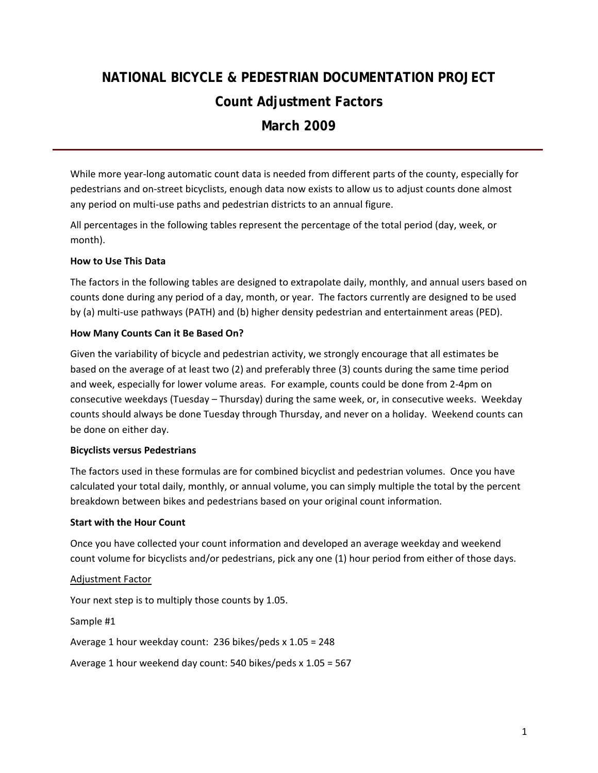# **NATIONAL BICYCLE & PEDESTRIAN DOCUMENTATION PROJECT Count Adjustment Factors March 2009**

While more year-long automatic count data is needed from different parts of the county, especially for pedestrians and on‐street bicyclists, enough data now exists to allow us to adjust counts done almost any period on multi-use paths and pedestrian districts to an annual figure.

All percentages in the following tables represent the percentage of the total period (day, week, or month).

#### **How to Use This Data**

The factors in the following tables are designed to extrapolate daily, monthly, and annual users based on counts done during any period of a day, month, or year. The factors currently are designed to be used by (a) multi-use pathways (PATH) and (b) higher density pedestrian and entertainment areas (PED).

#### **How Many Counts Can it Be Based On?**

Given the variability of bicycle and pedestrian activity, we strongly encourage that all estimates be based on the average of at least two (2) and preferably three (3) counts during the same time period and week, especially for lower volume areas. For example, counts could be done from 2‐4pm on consecutive weekdays (Tuesday – Thursday) during the same week, or, in consecutive weeks. Weekday counts should always be done Tuesday through Thursday, and never on a holiday. Weekend counts can be done on either day.

#### **Bicyclists versus Pedestrians**

The factors used in these formulas are for combined bicyclist and pedestrian volumes. Once you have calculated your total daily, monthly, or annual volume, you can simply multiple the total by the percent breakdown between bikes and pedestrians based on your original count information.

#### **Start with the Hour Count**

Once you have collected your count information and developed an average weekday and weekend count volume for bicyclists and/or pedestrians, pick any one (1) hour period from either of those days.

#### Adjustment Factor

Your next step is to multiply those counts by 1.05.

Sample #1

Average 1 hour weekday count: 236 bikes/peds x 1.05 = 248

Average 1 hour weekend day count: 540 bikes/peds x 1.05 = 567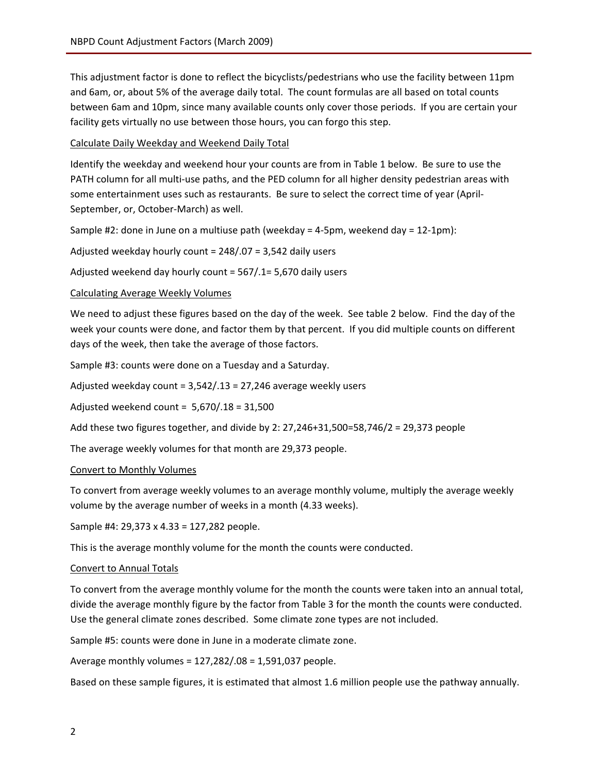This adjustment factor is done to reflect the bicyclists/pedestrians who use the facility between 11pm and 6am, or, about 5% of the average daily total. The count formulas are all based on total counts between 6am and 10pm, since many available counts only cover those periods. If you are certain your facility gets virtually no use between those hours, you can forgo this step.

Calculate Daily Weekday and Weekend Daily Total

Identify the weekday and weekend hour your counts are from in Table 1 below. Be sure to use the PATH column for all multi-use paths, and the PED column for all higher density pedestrian areas with some entertainment uses such as restaurants. Be sure to select the correct time of year (April-September, or, October‐March) as well.

Sample #2: done in June on a multiuse path (weekday = 4‐5pm, weekend day = 12‐1pm):

Adjusted weekday hourly count = 248/.07 = 3,542 daily users

Adjusted weekend day hourly count = 567/.1= 5,670 daily users

#### Calculating Average Weekly Volumes

We need to adjust these figures based on the day of the week. See table 2 below. Find the day of the week your counts were done, and factor them by that percent. If you did multiple counts on different days of the week, then take the average of those factors.

Sample #3: counts were done on a Tuesday and a Saturday.

Adjusted weekday count = 3,542/.13 = 27,246 average weekly users

Adjusted weekend count = 5,670/.18 = 31,500

Add these two figures together, and divide by 2: 27,246+31,500=58,746/2 = 29,373 people

The average weekly volumes for that month are 29,373 people.

#### Convert to Monthly Volumes

To convert from average weekly volumes to an average monthly volume, multiply the average weekly volume by the average number of weeks in a month (4.33 weeks).

Sample #4: 29,373 x 4.33 = 127,282 people.

This is the average monthly volume for the month the counts were conducted.

#### Convert to Annual Totals

To convert from the average monthly volume for the month the counts were taken into an annual total, divide the average monthly figure by the factor from Table 3 for the month the counts were conducted. Use the general climate zones described. Some climate zone types are not included.

Sample #5: counts were done in June in a moderate climate zone.

Average monthly volumes = 127,282/.08 = 1,591,037 people.

Based on these sample figures, it is estimated that almost 1.6 million people use the pathway annually.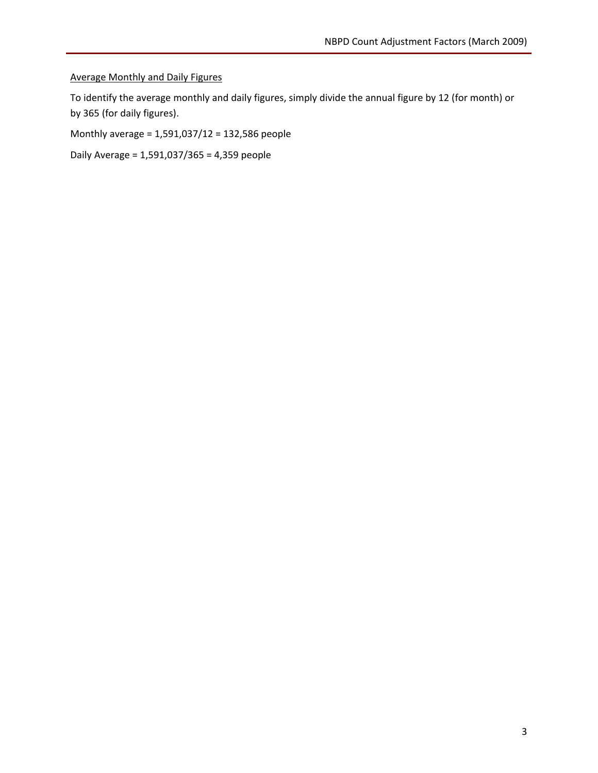### Average Monthly and Daily Figures

To identify the average monthly and daily figures, simply divide the annual figure by 12 (for month) or by 365 (for daily figures).

Monthly average = 1,591,037/12 = 132,586 people

Daily Average = 1,591,037/365 = 4,359 people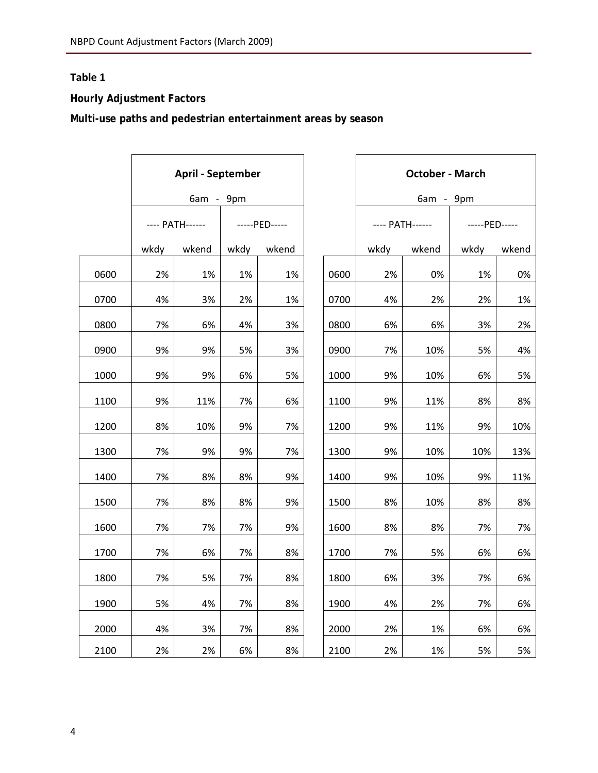## **Table 1**

## **Hourly Adjustment Factors**

**Multi-use paths and pedestrian entertainment areas by season** 

|      | <b>April - September</b><br>6am - 9pm |       |               |       |      | <b>October - March</b> |                 |      |               |  |
|------|---------------------------------------|-------|---------------|-------|------|------------------------|-----------------|------|---------------|--|
|      |                                       |       |               |       |      | 6am - 9pm              |                 |      |               |  |
|      | ---- PATH------                       |       | -----PED----- |       |      |                        | ---- PATH------ |      | -----PED----- |  |
|      | wkdy                                  | wkend | wkdy          | wkend |      | wkdy                   | wkend           | wkdy | wkend         |  |
| 0600 | 2%                                    | 1%    | 1%            | 1%    | 0600 | 2%                     | 0%              | 1%   | 0%            |  |
| 0700 | 4%                                    | 3%    | 2%            | 1%    | 0700 | 4%                     | 2%              | 2%   | 1%            |  |
| 0800 | 7%                                    | 6%    | 4%            | 3%    | 0800 | 6%                     | 6%              | 3%   | 2%            |  |
| 0900 | 9%                                    | 9%    | 5%            | 3%    | 0900 | 7%                     | 10%             | 5%   | 4%            |  |
| 1000 | 9%                                    | 9%    | 6%            | 5%    | 1000 | 9%                     | 10%             | 6%   | 5%            |  |
| 1100 | 9%                                    | 11%   | 7%            | 6%    | 1100 | 9%                     | 11%             | 8%   | 8%            |  |
| 1200 | 8%                                    | 10%   | 9%            | 7%    | 1200 | 9%                     | 11%             | 9%   | 10%           |  |
| 1300 | 7%                                    | 9%    | 9%            | 7%    | 1300 | 9%                     | 10%             | 10%  | 13%           |  |
| 1400 | 7%                                    | 8%    | 8%            | 9%    | 1400 | 9%                     | 10%             | 9%   | 11%           |  |
| 1500 | 7%                                    | 8%    | 8%            | 9%    | 1500 | 8%                     | 10%             | 8%   | 8%            |  |
| 1600 | 7%                                    | 7%    | 7%            | 9%    | 1600 | 8%                     | 8%              | 7%   | 7%            |  |
| 1700 | 7%                                    | 6%    | 7%            | 8%    | 1700 | 7%                     | 5%              | 6%   | 6%            |  |
| 1800 | 7%                                    | 5%    | 7%            | 8%    | 1800 | 6%                     | 3%              | 7%   | 6%            |  |
| 1900 | 5%                                    | 4%    | 7%            | 8%    | 1900 | 4%                     | 2%              | 7%   | 6%            |  |
| 2000 | 4%                                    | 3%    | 7%            | 8%    | 2000 | 2%                     | 1%              | 6%   | 6%            |  |
| 2100 | 2%                                    | 2%    | 6%            | 8%    | 2100 | 2%                     | 1%              | 5%   | 5%            |  |

|      | <b>October - March</b>                 |       |               |       |  |  |  |
|------|----------------------------------------|-------|---------------|-------|--|--|--|
|      | 9pm<br>6am<br>$\overline{\phantom{0}}$ |       |               |       |  |  |  |
|      | ---- PATH------                        |       | -----PED----- |       |  |  |  |
|      | wkdy                                   | wkend | wkdy          | wkend |  |  |  |
| 0600 | 2%                                     | 0%    | 1%            | 0%    |  |  |  |
| 0700 | 4%                                     | 2%    | 2%            | 1%    |  |  |  |
| 0800 | 6%                                     | 6%    | 3%            | 2%    |  |  |  |
| 0900 | 7%                                     | 10%   | 5%            | 4%    |  |  |  |
| 1000 | 9%                                     | 10%   | 6%            | 5%    |  |  |  |
| 1100 | 9%                                     | 11%   | 8%            | 8%    |  |  |  |
| 1200 | 9%                                     | 11%   | 9%            | 10%   |  |  |  |
| 1300 | 9%                                     | 10%   | 10%           | 13%   |  |  |  |
| 1400 | 9%                                     | 10%   | 9%            | 11%   |  |  |  |
| 1500 | 8%                                     | 10%   | 8%            | 8%    |  |  |  |
| 1600 | 8%                                     | 8%    | 7%            | 7%    |  |  |  |
| 1700 | 7%                                     | 5%    | 6%            | 6%    |  |  |  |
| 1800 | 6%                                     | 3%    | 7%            | 6%    |  |  |  |
| 1900 | 4%                                     | 2%    | 7%            | 6%    |  |  |  |
| 2000 | 2%                                     | 1%    | 6%            | 6%    |  |  |  |
| 2100 | 2%                                     | 1%    | 5%            | 5%    |  |  |  |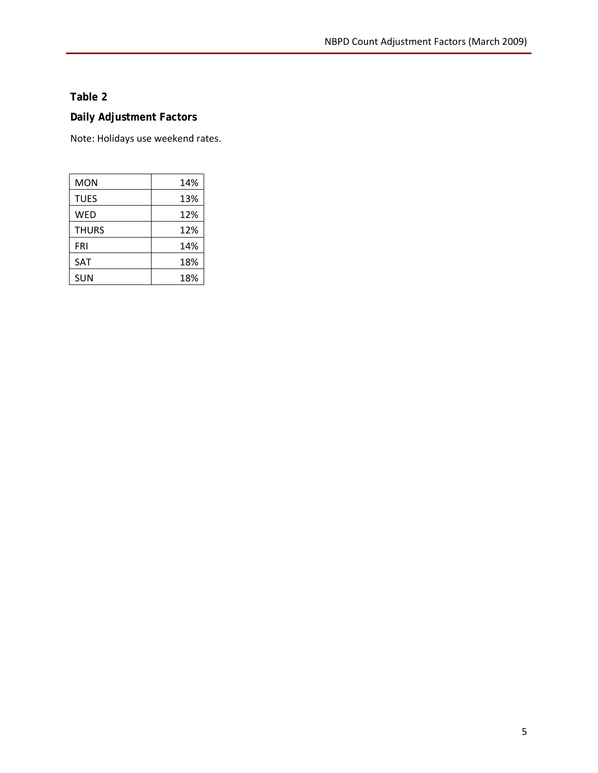### **Table 2**

### **Daily Adjustment Factors**

Note: Holidays use weekend rates.

| MON          | 14% |
|--------------|-----|
| <b>TUES</b>  | 13% |
| <b>WED</b>   | 12% |
| <b>THURS</b> | 12% |
| <b>FRI</b>   | 14% |
| SAT          | 18% |
| <b>SUN</b>   | 18% |